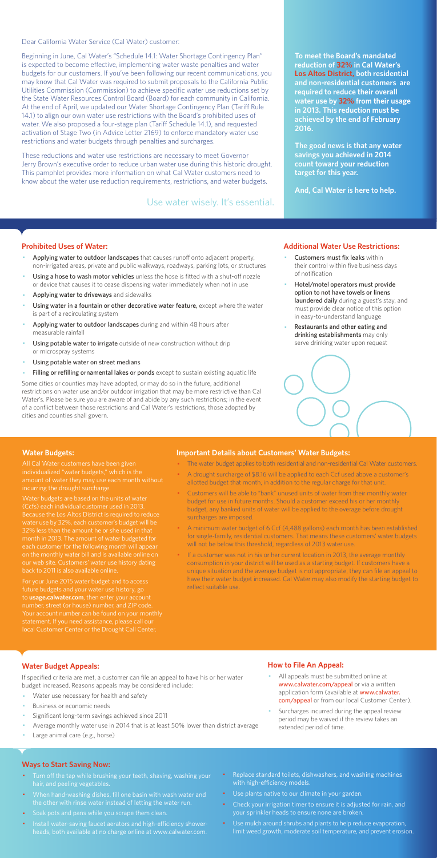Dear California Water Service (Cal Water) customer:

Beginning in June, Cal Water's "Schedule 14.1: Water Shortage Contingency Plan" is expected to become effective, implementing water waste penalties and water budgets for our customers. If you've been following our recent communications, you may know that Cal Water was required to submit proposals to the California Public Utilities Commission (Commission) to achieve specific water use reductions set by the State Water Resources Control Board (Board) for each community in California. At the end of April, we updated our Water Shortage Contingency Plan (Tariff Rule 14.1) to align our own water use restrictions with the Board's prohibited uses of water. We also proposed a four-stage plan (Tariff Schedule 14.1), and requested activation of Stage Two (in Advice Letter 2169) to enforce mandatory water use restrictions and water budgets through penalties and surcharges.

These reductions and water use restrictions are necessary to meet Governor Jerry Brown's executive order to reduce urban water use during this historic drought. This pamphlet provides more information on what Cal Water customers need to know about the water use reduction requirements, restrictions, and water budgets.

#### **Prohibited Uses of Water:**

- Applying water to outdoor landscapes that causes runoff onto adjacent property, non-irrigated areas, private and public walkways, roadways, parking lots, or structures
- Using a hose to wash motor vehicles unless the hose is fitted with a shut-off nozzle or device that causes it to cease dispensing water immediately when not in use
- Applying water to driveways and sidewalks
- Using water in a fountain or other decorative water feature, except where the water is part of a recirculating system
- Applying water to outdoor landscapes during and within 48 hours after measurable rainfall
- Using potable water to irrigate outside of new construction without drip or microspray systems
- Using potable water on street medians
- Filling or refilling ornamental lakes or ponds except to sustain existing aquatic life
- Customers must fix leaks within their control within five business days of notification
- Hotel/motel operators must provide option to not have towels or linens laundered daily during a guest's stay, and must provide clear notice of this option in easy-to-understand language
- Restaurants and other eating and drinking establishments may only serve drinking water upon request



- All appeals must be submitted online at www.calwater.com/appeal or via a written application form (available at www.calwater. com/appeal or from our local Customer Center).
- · Surcharges incurred during the appeal review period may be waived if the review takes an extended period of time.

Some cities or counties may have adopted, or may do so in the future, additional restrictions on water use and/or outdoor irrigation that may be more restrictive than Cal Water's. Please be sure you are aware of and abide by any such restrictions; in the event of a conflict between those restrictions and Cal Water's restrictions, those adopted by cities and counties shall govern.

- Turn off the tap while brushing your teeth, shaving, washing your hair, and peeling vegetables.
- · When hand-washing dishes, fill one basin with wash water and the other with rinse water instead of letting the water run.
- · Soak pots and pans while you scrape them clean.
- · Install water-saving faucet aerators and high-efficiency showerheads, both available at no charge online at www.calwater.com.
- Replace standard toilets, dishwashers, and washing machines with high-efficiency models.
- · Use plants native to our climate in your garden.
- Check your irrigation timer to ensure it is adjusted for rain, and your sprinkler heads to ensure none are broken.
- · Use mulch around shrubs and plants to help reduce evaporation, limit weed growth, moderate soil temperature, and prevent erosion.

**To meet the Board's mandated reduction of 32% in Cal Water's Los Altos District, both residential and non-residential customers are required to reduce their overall water use by 32% from their usage in 2013. This reduction must be achieved by the end of February 2016.** 

**The good news is that any water savings you achieved in 2014 count toward your reduction target for this year.** 

**And, Cal Water is here to help.** 

#### **Additional Water Use Restrictions:**

## **Water Budget Appeals:**

If specified criteria are met, a customer can file an appeal to have his or her water budget increased. Reasons appeals may be considered include:

- Water use necessary for health and safety
- Business or economic needs
- Significant long-term savings achieved since 2011
- Average monthly water use in 2014 that is at least 50% lower than district average
- Large animal care (e.g., horse)

If a customer was not in his or her current location in 2013, the average monthly consumption in your district will be used as a starting budget. If customers have a unique situation and the average budget is not appropriate, they can file an appeal to have their water budget increased. Cal Water may also modify the starting budget to reflect suitable use.

## **How to File An Appeal:**

#### **Ways to Start Saving Now:**

Use water wisely. It's essential.

#### **Water Budgets:**

individualized "water budgets," which is the incurring the drought surcharge.

Water budgets are based on the units of water (Ccfs) each individual customer used in 2013. Because the Los Altos District is required to reduce water use by 32%, each customer's budget will be month in 2013. The amount of water budgeted for each customer for the following month will appea on the monthly water bill and is available online on

For your June 2015 water budget and to access future budgets and your water use history, go to **usage.calwater.com**, then enter your account number, street (or house) number, and ZIP code. local Customer Center or the Drought Call Center.

#### **Important Details about Customers' Water Budgets:**

- · The water budget applies to both residential and non-residential Cal Water customers.
- A drought surcharge of \$8.16 will be applied to each Ccf used above a customer's allotted budget that month, in addition to the regular charge for that unit.
- · Customers will be able to "bank" unused units of water from their monthly water budget for use in future months. Should a customer exceed his or her monthly budget, any banked units of water will be applied to the overage before drought surcharges are imposed.
- · A minimum water budget of 6 Ccf (4,488 gallons) each month has been established for single-family, residential customers. That means these customers' water budgets will not be below this threshold, regardless of 2013 water use.